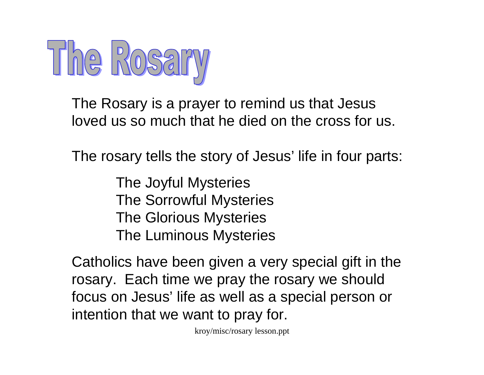

The Rosary is a prayer to remind us that Jesus loved us so much that he died on the cross for us.

The rosary tells the story of Jesus' life in four parts:

The Joyful Mysteries The Sorrowful Mysteries The Glorious Mysteries The Luminous Mysteries

Catholics have been given a very special gift in the rosary. Each time we pray the rosary we should focus on Jesus' life as well as a special person or intention that we want to pray for.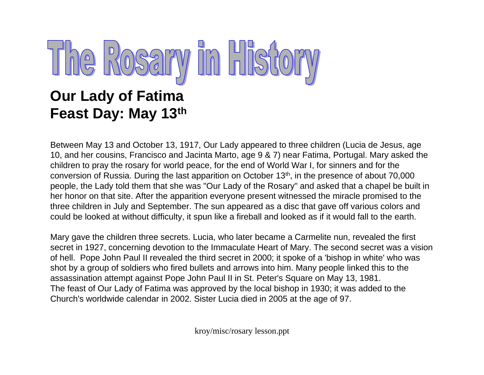

### **Our Lady of Fatima Feast Day: May 13th**

Between May 13 and October 13, 1917, Our Lady appeared to three children (Lucia de Jesus, age 10, and her cousins, Francisco and Jacinta Marto, age 9 & 7) near Fatima, Portugal. Mary asked the children to pray the rosary for world peace, for the end of World War I, for sinners and for the conversion of Russia. During the last apparition on October 13th, in the presence of about 70,000 people, the Lady told them that she was "Our Lady of the Rosary" and asked that a chapel be built in her honor on that site. After the apparition everyone present witnessed the miracle promised to the three children in July and September. The sun appeared as a disc that gave off various colors and could be looked at without difficulty, it spun like a fireball and looked as if it would fall to the earth.

Mary gave the children three secrets. Lucia, who later became a Carmelite nun, revealed the first secret in 1927, concerning devotion to the Immaculate Heart of Mary. The second secret was a vision of hell. Pope John Paul II revealed the third secret in 2000; it spoke of a 'bishop in white' who was shot by a group of soldiers who fired bullets and arrows into him. Many people linked this to the assassination attempt against Pope John Paul II in St. Peter's Square on May 13, 1981. The feast of Our Lady of Fatima was approved by the local bishop in 1930; it was added to the Church's worldwide calendar in 2002. Sister Lucia died in 2005 at the age of 97.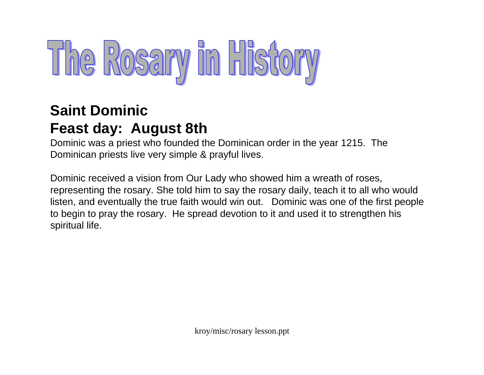# The Rosary in History

### **Saint DominicFeast day: August 8th**

Dominic was a priest who founded the Dominican order in the year 1215. The Dominican priests live very simple & prayful lives.

Dominic received a vision from Our Lady who showed him a wreath of roses, representing the rosary. She told him to say the rosary daily, teach it to all who would listen, and eventually the true faith would win out. Dominic was one of the first people to begin to pray the rosary. He spread devotion to it and used it to strengthen his spiritual life.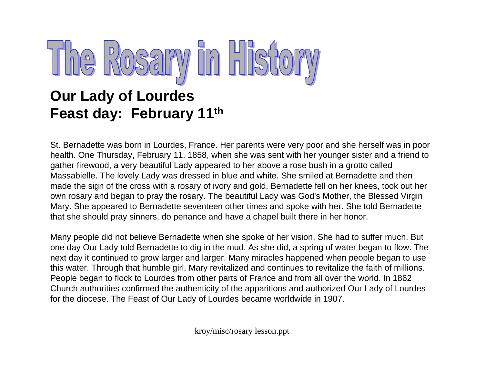# The Rosary in Histo

### **Our Lady of Lourdes Feast day: February 11th**

St. Bernadette was born in Lourdes, France. Her parents were very poor and she herself was in poor health. One Thursday, February 11, 1858, when she was sent with her younger sister and a friend to gather firewood, a very beautiful Lady appeared to her above a rose bush in a grotto called Massabielle. The lovely Lady was dressed in blue and white. She smiled at Bernadette and then made the sign of the cross with a rosary of ivory and gold. Bernadette fell on her knees, took out her own rosary and began to pray the rosary. The beautiful Lady was God's Mother, the Blessed Virgin Mary. She appeared to Bernadette seventeen other times and spoke with her. She told Bernadette that she should pray sinners, do penance and have a chapel built there in her honor.

Many people did not believe Bernadette when she spoke of her vision. She had to suffer much. But one day Our Lady told Bernadette to dig in the mud. As she did, a spring of water began to flow. The next day it continued to grow larger and larger. Many miracles happened when people began to use this water. Through that humble girl, Mary revitalized and continues to revitalize the faith of millions. People began to flock to Lourdes from other parts of France and from all over the world. In 1862 Church authorities confirmed the authenticity of the apparitions and authorized Our Lady of Lourdes for the diocese. The Feast of Our Lady of Lourdes became worldwide in 1907.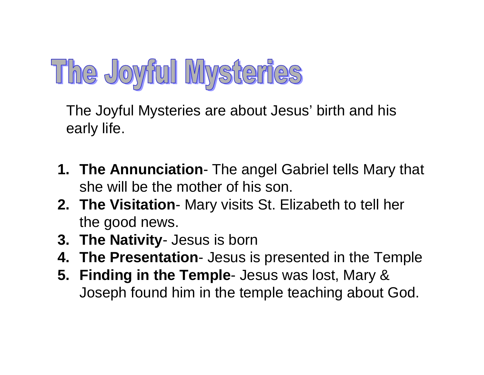### The Joyful Mysteries

The Joyful Mysteries are about Jesus' birth and his early life.

- **1. The Annunciation** The angel Gabriel tells Mary that she will be the mother of his son.
- **2. The Visitation** Mary visits St. Elizabeth to tell her the good news.
- **3. The Nativity** Jesus is born
- **4. The Presentation** Jesus is presented in the Temple
- **5. Finding in the Temple** Jesus was lost, Mary & Joseph found him in the temple teaching about God.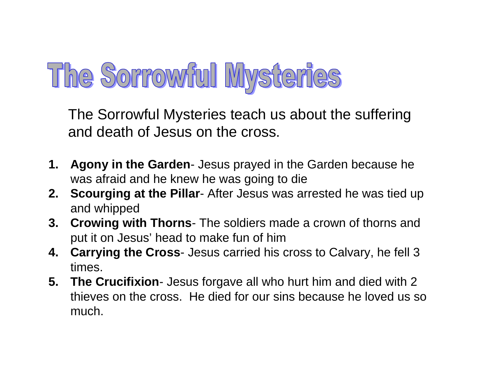### The Sorrowful Mysteries

The Sorrowful Mysteries teach us about the suffering and death of Jesus on the cross.

- **1. Agony in the Garden** Jesus prayed in the Garden because he was afraid and he knew he was going to die
- **2. Scourging at the Pillar** After Jesus was arrested he was tied up and whipped
- **3. Crowing with Thorns** The soldiers made a crown of thorns and put it on Jesus' head to make fun of him
- **4. Carrying the Cross** Jesus carried his cross to Calvary, he fell 3 times.
- **5. The Crucifixion** Jesus forgave all who hurt him and died with 2 thieves on the cross. He died for our sins because he loved us so much.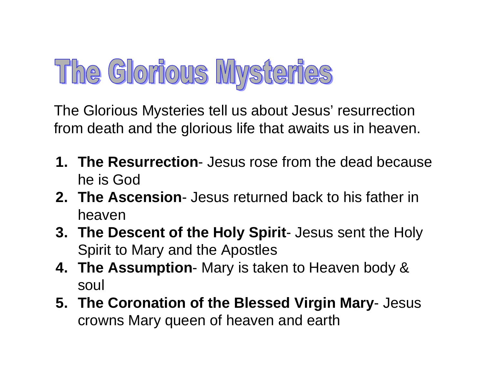### The Glorious Mysteries

The Glorious Mysteries tell us about Jesus' resurrection from death and the glorious life that awaits us in heaven.

- **1. The Resurrection** Jesus rose from the dead because he is God
- **2. The Ascension** Jesus returned back to his father in heaven
- **3. The Descent of the Holy Spirit** Jesus sent the Holy Spirit to Mary and the Apostles
- **4. The Assumption** Mary is taken to Heaven body & soul
- **5. The Coronation of the Blessed Virgin Mary** Jesus crowns Mary queen of heaven and earth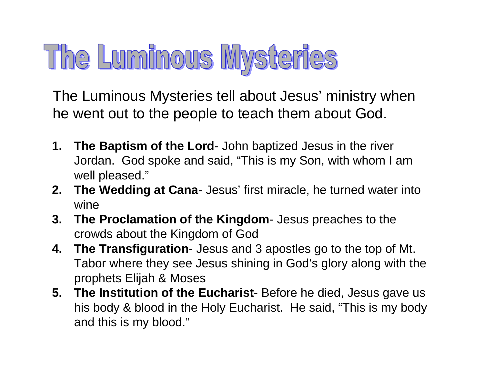## The Luminous Mysteries

The Luminous Mysteries tell about Jesus' ministry when he went out to the people to teach them about God.

- **1. The Baptism of the Lord** John baptized Jesus in the river Jordan. God spoke and said, "This is my Son, with whom I am well pleased."
- **2. The Wedding at Cana** Jesus' first miracle, he turned water into wine
- **3. The Proclamation of the Kingdom** Jesus preaches to the crowds about the Kingdom of God
- **4. The Transfiguration** Jesus and 3 apostles go to the top of Mt. Tabor where they see Jesus shining in God's glory along with the prophets Elijah & Moses
- **5. The Institution of the Eucharist** Before he died, Jesus gave us his body & blood in the Holy Eucharist. He said, "This is my body and this is my blood."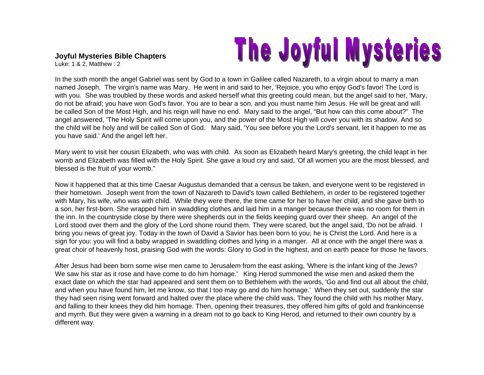## The Joyful Mysteries

**Joyful Mysteries Bible Chapters** Luke: 1 & 2, Matthew : 2

In the sixth month the angel Gabriel was sent by God to a town in Galilee called Nazareth, to a virgin about to marry a man named Joseph. The virgin's name was Mary. He went in and said to her, 'Rejoice, you who enjoy God's favor! The Lord is with you. She was troubled by these words and asked herself what this greeting could mean, but the angel said to her, 'Mary, do not be afraid; you have won God's favor. You are to bear a son, and you must name him Jesus. He will be great and will be called Son of the Most High, and his reign will have no end. Mary said to the angel, "But how can this come about?" The angel answered, 'The Holy Spirit will come upon you, and the power of the Most High will cover you with its shadow. And so the child will be holy and will be called Son of God. Mary said, 'You see before you the Lord's servant, let it happen to me as you have said.' And the angel left her.

Mary went to visit her cousin Elizabeth, who was with child. As soon as Elizabeth heard Mary's greeting, the child leapt in her womb and Elizabeth was filled with the Holy Spirit. She gave a loud cry and said, 'Of all women you are the most blessed, and blessed is the fruit of your womb."

Now it happened that at this time Caesar Augustus demanded that a census be taken, and everyone went to be registered in their hometown. Joseph went from the town of Nazareth to David's town called Bethlehem, in order to be registered together with Mary, his wife, who was with child. While they were there, the time came for her to have her child, and she gave birth to a son, her first-born. She wrapped him in swaddling clothes and laid him in a manger because there was no room for them in the inn. In the countryside close by there were shepherds out in the fields keeping guard over their sheep. An angel of the Lord stood over them and the glory of the Lord shone round them. They were scared, but the angel said, 'Do not be afraid. I bring you news of great joy. Today in the town of David a Savior has been born to you; he is Christ the Lord. And here is a sign for you: you will find a baby wrapped in swaddling clothes and lying in a manger. All at once with the angel there was a great choir of heavenly host, praising God with the words: Glory to God in the highest, and on earth peace for those he favors.

After Jesus had been born some wise men came to Jerusalem from the east asking, 'Where is the infant king of the Jews? We saw his star as it rose and have come to do him homage.' King Herod summoned the wise men and asked them the exact date on which the star had appeared and sent them on to Bethlehem with the words, 'Go and find out all about the child, and when you have found him, let me know, so that I too may go and do him homage.' When they set out, suddenly the star they had seen rising went forward and halted over the place where the child was. They found the child with his mother Mary, and falling to their knees they did him homage. Then, opening their treasures, they offered him gifts of gold and frankincense and myrrh. But they were given a warning in a dream not to go back to King Herod, and returned to their own country by a different way.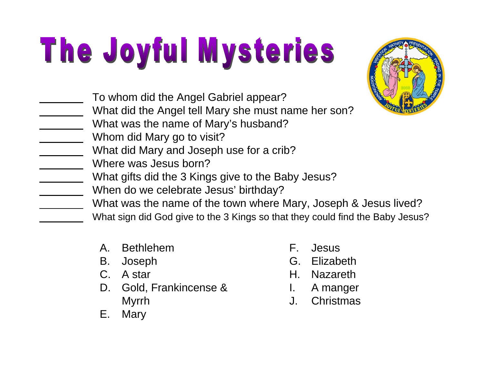# The Joyful Mysteries



|  |  |  | To whom did the Angel Gabriel appear? |  |
|--|--|--|---------------------------------------|--|
|  |  |  |                                       |  |

- What did the Angel tell Mary she must name her son?
- What was the name of Mary's husband?
- Whom did Mary go to visit?
	- What did Mary and Joseph use for a crib?
	- Where was Jesus born?
- What gifts did the 3 Kings give to the Baby Jesus?
- When do we celebrate Jesus' birthday?
	- What was the name of the town where Mary, Joseph & Jesus lived?
	- What sign did God give to the 3 Kings so that they could find the Baby Jesus?
		- A. Bethlehem
		- B. Joseph
		- C. A star
		- D. Gold, Frankincense & Myrrh
		- E. Mary
- F. Jesus
- G. Elizabeth
- H. Nazareth
- I. A manger
- J. Christmas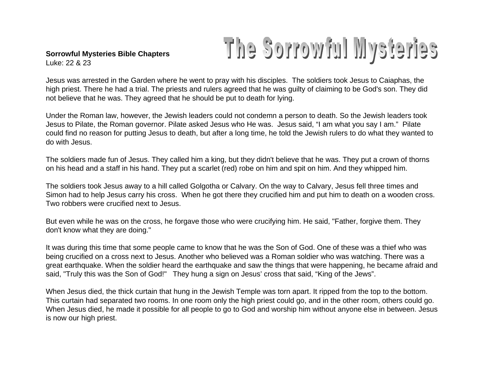#### **Sorrowful Mysteries Bible Chapters** Luke: 22 & 23

### The Sorrowful Mysteries

Jesus was arrested in the Garden where he went to pray with his disciples. The soldiers took Jesus to Caiaphas, the high priest. There he had a trial. The priests and rulers agreed that he was guilty of claiming to be God's son. They did not believe that he was. They agreed that he should be put to death for lying.

Under the Roman law, however, the Jewish leaders could not condemn a person to death. So the Jewish leaders took Jesus to Pilate, the Roman governor. Pilate asked Jesus who He was. Jesus said, "I am what you say I am." Pilate could find no reason for putting Jesus to death, but after a long time, he told the Jewish rulers to do what they wanted to do with Jesus.

The soldiers made fun of Jesus. They called him a king, but they didn't believe that he was. They put a crown of thorns on his head and a staff in his hand. They put a scarlet (red) robe on him and spit on him. And they whipped him.

The soldiers took Jesus away to a hill called Golgotha or Calvary. On the way to Calvary, Jesus fell three times and Simon had to help Jesus carry his cross. When he got there they crucified him and put him to death on a wooden cross. Two robbers were crucified next to Jesus.

But even while he was on the cross, he forgave those who were crucifying him. He said, "Father, forgive them. They don't know what they are doing."

It was during this time that some people came to know that he was the Son of God. One of these was a thief who was being crucified on a cross next to Jesus. Another who believed was a Roman soldier who was watching. There was a great earthquake. When the soldier heard the earthquake and saw the things that were happening, he became afraid and said, "Truly this was the Son of God!" They hung a sign on Jesus' cross that said, "King of the Jews".

When Jesus died, the thick curtain that hung in the Jewish Temple was torn apart. It ripped from the top to the bottom. This curtain had separated two rooms. In one room only the high priest could go, and in the other room, others could go. When Jesus died, he made it possible for all people to go to God and worship him without anyone else in between. Jesus is now our high priest.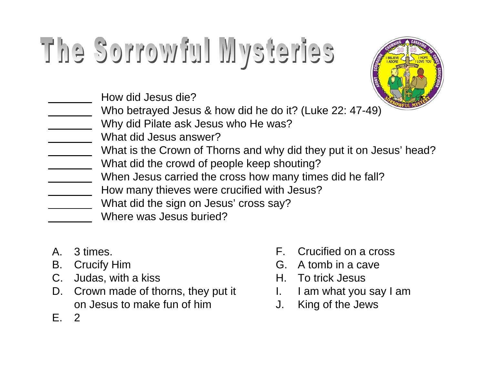# The Sorrowful Mysteries



| Who betrayed Jesus & how did he do it? (Luke 22: 47-49)             |
|---------------------------------------------------------------------|
| Why did Pilate ask Jesus who He was?                                |
| What did Jesus answer?                                              |
| What is the Crown of Thorns and why did they put it on Jesus' head? |
| What did the crowd of people keep shouting?                         |
| When Jesus carried the cross how many times did he fall?            |
| How many thieves were crucified with Jesus?                         |
| What did the sign on Jesus' cross say?                              |
| Where was Jesus buried?                                             |
|                                                                     |

- A. 3 times.
- B. Crucify Him
- C. Judas, with a kiss
- D. Crown made of thorns, they put it on Jesus to make fun of him

How did Jesus die?

E. 2

- F. Crucified on a cross
- G. A tomb in a cave
- H. To trick Jesus
- I. I am what you say I am
- J. King of the Jews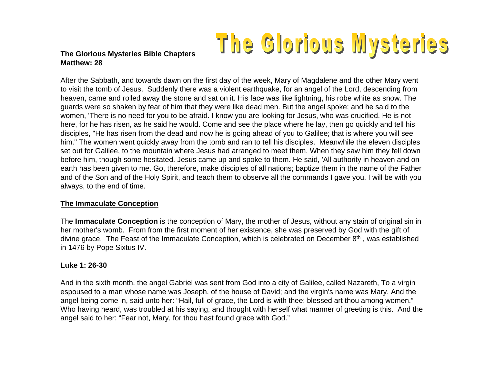### The Glorious Mysteries

#### **The Glorious Mysteries Bible Chapters Matthew: 28**

After the Sabbath, and towards dawn on the first day of the week, Mary of Magdalene and the other Mary went to visit the tomb of Jesus. Suddenly there was a violent earthquake, for an angel of the Lord, descending from heaven, came and rolled away the stone and sat on it. His face was like lightning, his robe white as snow. The guards were so shaken by fear of him that they were like dead men. But the angel spoke; and he said to the women, 'There is no need for you to be afraid. I know you are looking for Jesus, who was crucified. He is not here, for he has risen, as he said he would. Come and see the place where he lay, then go quickly and tell his disciples, "He has risen from the dead and now he is going ahead of you to Galilee; that is where you will see him." The women went quickly away from the tomb and ran to tell his disciples. Meanwhile the eleven disciples set out for Galilee, to the mountain where Jesus had arranged to meet them. When they saw him they fell down before him, though some hesitated. Jesus came up and spoke to them. He said, 'All authority in heaven and on earth has been given to me. Go, therefore, make disciples of all nations; baptize them in the name of the Father and of the Son and of the Holy Spirit, and teach them to observe all the commands I gave you. I will be with you always, to the end of time.

#### **The Immaculate Conception**

The **Immaculate Conception** is the conception of Mary, the mother of Jesus, without any stain of original sin in her mother's womb. From from the first moment of her existence, she was preserved by God with the gift of divine grace. The Feast of the Immaculate Conception, which is celebrated on December 8<sup>th</sup>, was established in 1476 by Pope Sixtus IV.

#### **Luke 1: 26-30**

And in the sixth month, the angel Gabriel was sent from God into a city of Galilee, called Nazareth, To a virgin espoused to a man whose name was Joseph, of the house of David; and the virgin's name was Mary. And the angel being come in, said unto her: "Hail, full of grace, the Lord is with thee: blessed art thou among women." Who having heard, was troubled at his saying, and thought with herself what manner of greeting is this. And the angel said to her: "Fear not, Mary, for thou hast found grace with God."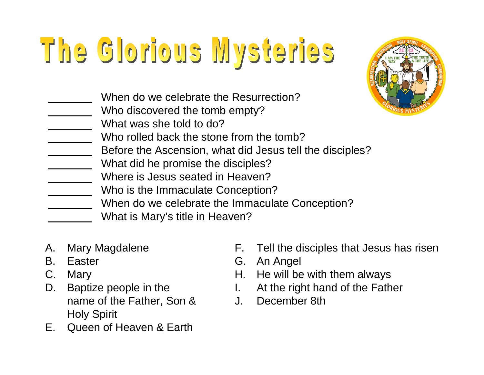## The Glorious Mysteries



- When do we celebrate the Resurrection?
- Who discovered the tomb empty?
- What was she told to do?
- Who rolled back the stone from the tomb?
- Before the Ascension, what did Jesus tell the disciples?
- What did he promise the disciples?
- Where is Jesus seated in Heaven?
- Who is the Immaculate Conception?
- When do we celebrate the Immaculate Conception?
	- What is Mary's title in Heaven?
- A. Mary Magdalene
- B. Easter
- C. Mary
- D. Baptize people in the name of the Father, Son & Holy Spirit
- E. Queen of Heaven & Earth
- F. Tell the disciples that Jesus has risen
- G. An Angel
- H. He will be with them always
- I. At the right hand of the Father
- J. December 8th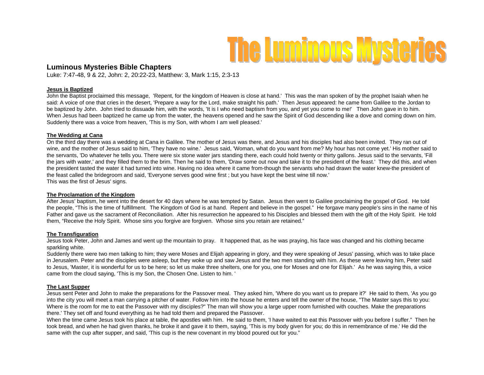

#### **Luminous Mysteries Bible Chapters**

Luke: 7:47-48, 9 & 22, John: 2, 20:22-23, Matthew: 3, Mark 1:15, 2:3-13

#### **Jesus is Baptized**

John the Baptist proclaimed this message, 'Repent, for the kingdom of Heaven is close at hand.' This was the man spoken of by the prophet Isaiah when he said: A voice of one that cries in the desert, 'Prepare a way for the Lord, make straight his path.' Then Jesus appeared: he came from Galilee to the Jordan to be baptized by John. John tried to dissuade him, with the words, 'It is I who need baptism from you, and yet you come to me!' Then John gave in to him. When Jesus had been baptized he came up from the water, the heavens opened and he saw the Spirit of God descending like a dove and coming down on him. Suddenly there was a voice from heaven, 'This is my Son, with whom I am well pleased.'

#### **The Wedding at Cana**

On the third day there was a wedding at Cana in Galilee. The mother of Jesus was there, and Jesus and his disciples had also been invited. They ran out of wine, and the mother of Jesus said to him, 'They have no wine.' Jesus said, 'Woman, what do you want from me? My hour has not come yet.' His mother said to the servants, 'Do whatever he tells you. There were six stone water jars standing there, each could hold twenty or thirty gallons. Jesus said to the servants, 'Fill the jars with water,' and they filled them to the brim. Then he said to them, 'Draw some out now and take it to the president of the feast.' They did this, and when the president tasted the water it had turned into wine. Having no idea where it came from-though the servants who had drawn the water knew-the president of the feast called the bridegroom and said, 'Everyone serves good wine first ; but you have kept the best wine till now.' This was the first of Jesus' signs.

#### **The Proclamation of the Kingdom**

After Jesus' baptism, he went into the desert for 40 days where he was tempted by Satan. Jesus then went to Galilee proclaiming the gospel of God. He told the people, "This is the time of fulfillment. The Kingdom of God is at hand. Repent and believe in the gospel." He forgave many people's sins in the name of his Father and gave us the sacrament of Reconciliation. After his resurrection he appeared to his Disciples and blessed them with the gift of the Holy Spirit. He told them, "Receive the Holy Spirit. Whose sins you forgive are forgiven. Whose sins you retain are retained."

#### **The Transfiguration**

Jesus took Peter, John and James and went up the mountain to pray. It happened that, as he was praying, his face was changed and his clothing became sparkling white.

Suddenly there were two men talking to him; they were Moses and Elijah appearing in glory, and they were speaking of Jesus' passing, which was to take place in Jerusalem. Peter and the disciples were asleep, but they woke up and saw Jesus and the two men standing with him. As these were leaving him, Peter said to Jesus, 'Master, it is wonderful for us to be here; so let us make three shelters, one for you, one for Moses and one for Elijah.' As he was saying this, a voice came from the cloud saying, 'This is my Son, the Chosen One. Listen to him. '

#### **The Last Supper**

Jesus sent Peter and John to make the preparations for the Passover meal. They asked him, 'Where do you want us to prepare it?' He said to them, 'As you go into the city you will meet a man carrying a pitcher of water. Follow him into the house he enters and tell the owner of the house, "The Master says this to you: Where is the room for me to eat the Passover with my disciples?" The man will show you a large upper room furnished with couches. Make the preparations there.' They set off and found everything as he had told them and prepared the Passover.

When the time came Jesus took his place at table, the apostles with him. He said to them, 'I have waited to eat this Passover with you before I suffer." Then he took bread, and when he had given thanks, he broke it and gave it to them, saying, 'This is my body given for you; do this in remembrance of me.' He did the same with the cup after supper, and said, 'This cup is the new covenant in my blood poured out for you."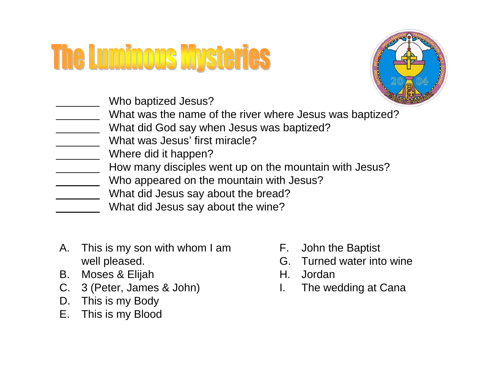### **The Luminous Mysteries**



Who baptized Jesus?

- What was the name of the river where Jesus was baptized?
- What did God say when Jesus was baptized?
- What was Jesus' first miracle?
- Where did it happen?
- How many disciples went up on the mountain with Jesus?
- Who appeared on the mountain with Jesus?
- What did Jesus say about the bread?
- What did Jesus say about the wine?
- A. This is my son with whom I am well pleased.
- B. Moses & Elijah
- C. 3 (Peter, James & John)
- D. This is my Body
- E. This is my Blood
- F. John the Baptist
- G. Turned water into wine
- H. Jordan
- I. The wedding at Cana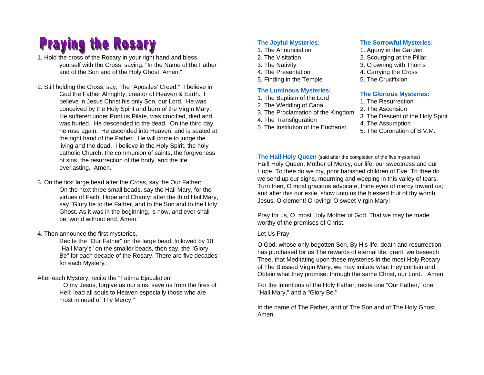### **Praying the Rosary**

1. Hold the cross of the Rosary in your right hand and bless yourself with the Cross, saying, "In the Name of the Father and of the Son and of the Holy Ghost. Amen."

- 2. Still holding the Cross, say, The "Apostles' Creed." I believe in God the Father Almighty, creator of Heaven & Earth. I believe in Jesus Christ his only Son, our Lord. He was conceived by the Holy Spirit and born of the Virgin Mary. He suffered under Pontius Pilate, was crucified, died and was buried. He descended to the dead. On the third day he rose again. He ascended into Heaven, and is seated at the right hand of the Father. He will come to judge the living and the dead. I believe in the Holy Spirit, the holy catholic Church, the communion of saints, the forgiveness of sins, the resurrection of the body, and the life everlasting. Amen.
- 3. On the first large bead after the Cross, say the Our Father; On the next three small beads, say the Hail Mary, for the virtues of Faith, Hope and Charity; after the third Hail Mary, say "Glory be to the Father, and to the Son and to the Holy Ghost. As it was in the beginning, is now, and ever shall be, world without end. Amen."
- 4. Then announce the first mysteries.

Recite the "Our Father" on the large bead, followed by 10 "Hail Mary's" on the smaller beads, then say, the "Glory Be" for each decade of the Rosary. There are five decades for each Mystery.

After each Mystery, recite the "Fatima Ejaculation"

" O my Jesus, forgive us our sins, save us from the fires of Hell; lead all souls to Heaven especially those who are most in need of Thy Mercy."

#### **The Joyful Mysteries:**

- 1. The Annunciation
- 2. The Visitation
- 3. The Nativity
- 4. The Presentation
- 5. Finding in the Temple

#### **The Luminous Mysteries:**

- 1. The Baptism of the Lord
- 2. The Wedding of Cana
- 3. The Proclamation of the Kingdom
- 4. The Transfiguration
- 5. The Institution of the Eucharist

#### **The Sorrowful Mysteries:**

- 1. Agony in the Garden
- 2. Scourging at the Pillar
- 3. Crowning with Thorns
- 4. Carrying the Cross
- 5. The Crucifixion

#### **The Glorious Mysteries:**

- 1. The Resurrection
- 2. The Ascension
- 3. The Descent of the Holy Spirit
- 4. The Assumption
- 5. The Coronation of B.V.M.

**The Hail Holy Queen** (said after the completion of the five mysteries) Hail! Holy Queen, Mother of Mercy, our life, our sweetness and our Hope. To thee do we cry, poor banished children of Eve. To thee do we send up our sighs, mourning and weeping in this valley of tears. Turn then, O most gracious advocate, thine eyes of mercy toward us; and after this our exile, show unto us the blessed fruit of thy womb, Jesus. O clement! O loving! O sweet Virgin Mary!

Pray for us, O most Holy Mother of God. That we may be made worthy of the promises of Christ.

#### Let Us Pray

O God, whose only begotten Son, By His life, death and resurrection has purchased for us The rewards of eternal life, grant, we beseech Thee, that Meditating upon these mysteries in the most Holy Rosary of The Blessed Virgin Mary, we may imitate what they contain and Obtain what they promise: through the same Christ, our Lord. Amen.

For the intentions of the Holy Father, recite one "Our Father," one "Hail Mary," and a "Glory Be."

In the name of The Father, and of The Son and of The Holy Ghost. Amen.